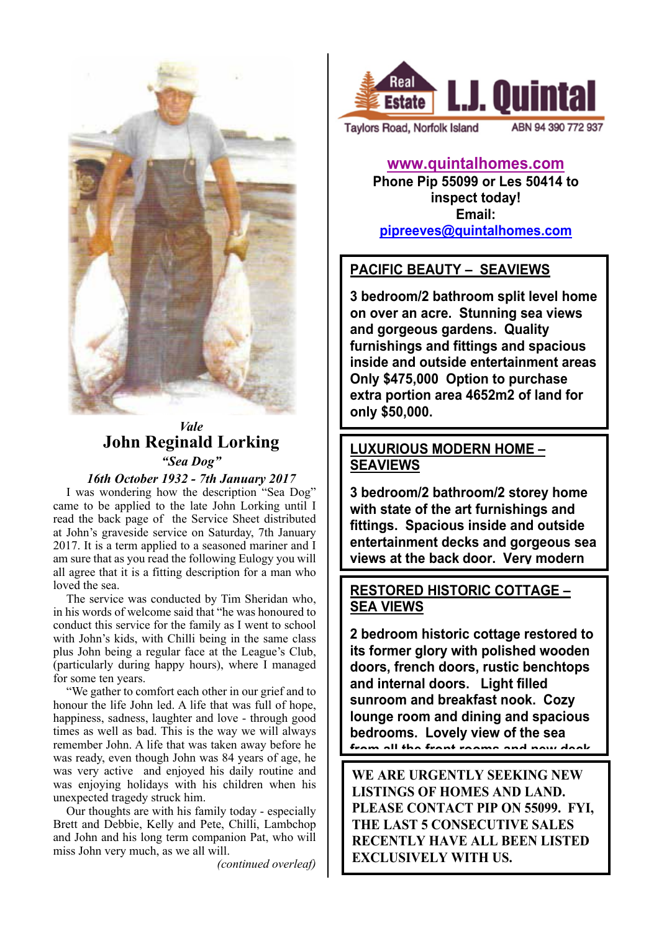

# *Vale* **John Reginald Lorking** *"Sea Dog"*

### *16th October 1932 - 7th January 2017*

I was wondering how the description "Sea Dog" came to be applied to the late John Lorking until I read the back page of the Service Sheet distributed at John's graveside service on Saturday, 7th January 2017. It is a term applied to a seasoned mariner and I am sure that as you read the following Eulogy you will all agree that it is a fitting description for a man who loved the sea.

The service was conducted by Tim Sheridan who, in his words of welcome said that "he was honoured to conduct this service for the family as I went to school with John's kids, with Chilli being in the same class plus John being a regular face at the League's Club, (particularly during happy hours), where I managed for some ten years.

"We gather to comfort each other in our grief and to honour the life John led. A life that was full of hope, happiness, sadness, laughter and love - through good times as well as bad. This is the way we will always remember John. A life that was taken away before he was ready, even though John was 84 years of age, he was very active and enjoyed his daily routine and was enjoying holidays with his children when his unexpected tragedy struck him.

Our thoughts are with his family today - especially Brett and Debbie, Kelly and Pete, Chilli, Lambchop and John and his long term companion Pat, who will miss John very much, as we all will.

*(continued overleaf)*



Taylors Road, Norfolk Island

ABN 94 390 772 937

**www.quintalhomes.com Phone Pip 55099 or Les 50414 to inspect today! Email: pipreeves@quintalhomes.com**

# **PACIFIC BEAUTY – SEAVIEWS**

**3 bedroom/2 bathroom split level home on over an acre. Stunning sea views and gorgeous gardens. Quality furnishings and fittings and spacious inside and outside entertainment areas Only \$475,000 Option to purchase extra portion area 4652m2 of land for only \$50,000.** 

### **LUXURIOUS MODERN HOME – SEAVIEWS**

**3 bedroom/2 bathroom/2 storey home with state of the art furnishings and fittings. Spacious inside and outside entertainment decks and gorgeous sea views at the back door. Very modern** 

### **and sleek. \$750,000 RESTORED HISTORIC COTTAGE – SEA VIEWS**

**2 bedroom historic cottage restored to its former glory with polished wooden doors, french doors, rustic benchtops and internal doors. Light filled sunroom and breakfast nook. Cozy lounge room and dining and spacious bedrooms. Lovely view of the sea from all the front rooms and new deck.** 

**\$420,000 WE ARE URGENTLY SEEKING NEW LISTINGS OF HOMES AND LAND. PLEASE CONTACT PIP ON 55099. FYI, THE LAST 5 CONSECUTIVE SALES RECENTLY HAVE ALL BEEN LISTED EXCLUSIVELY WITH US.**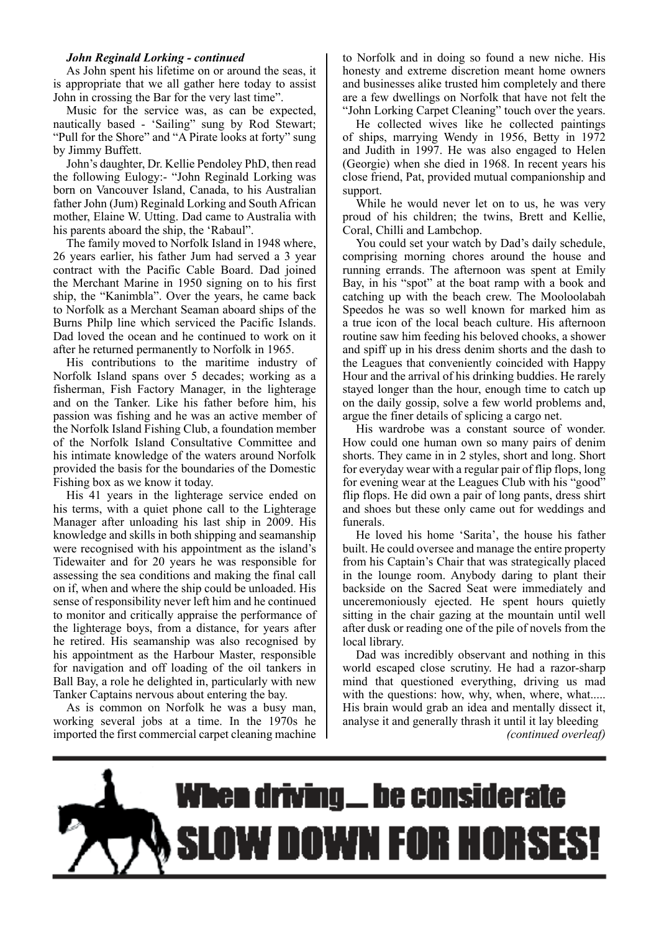### *John Reginald Lorking - continued*

As John spent his lifetime on or around the seas, it is appropriate that we all gather here today to assist John in crossing the Bar for the very last time".

Music for the service was, as can be expected, nautically based - 'Sailing" sung by Rod Stewart; "Pull for the Shore" and "A Pirate looks at forty" sung by Jimmy Buffett.

John's daughter, Dr. Kellie Pendoley PhD, then read the following Eulogy:- "John Reginald Lorking was born on Vancouver Island, Canada, to his Australian father John (Jum) Reginald Lorking and South African mother, Elaine W. Utting. Dad came to Australia with his parents aboard the ship, the 'Rabaul".

The family moved to Norfolk Island in 1948 where, 26 years earlier, his father Jum had served a 3 year contract with the Pacific Cable Board. Dad joined the Merchant Marine in 1950 signing on to his first ship, the "Kanimbla". Over the years, he came back to Norfolk as a Merchant Seaman aboard ships of the Burns Philp line which serviced the Pacific Islands. Dad loved the ocean and he continued to work on it after he returned permanently to Norfolk in 1965.

His contributions to the maritime industry of Norfolk Island spans over 5 decades; working as a fisherman, Fish Factory Manager, in the lighterage and on the Tanker. Like his father before him, his passion was fishing and he was an active member of the Norfolk Island Fishing Club, a foundation member of the Norfolk Island Consultative Committee and his intimate knowledge of the waters around Norfolk provided the basis for the boundaries of the Domestic Fishing box as we know it today.

His 41 years in the lighterage service ended on his terms, with a quiet phone call to the Lighterage Manager after unloading his last ship in 2009. His knowledge and skills in both shipping and seamanship were recognised with his appointment as the island's Tidewaiter and for 20 years he was responsible for assessing the sea conditions and making the final call on if, when and where the ship could be unloaded. His sense of responsibility never left him and he continued to monitor and critically appraise the performance of the lighterage boys, from a distance, for years after he retired. His seamanship was also recognised by his appointment as the Harbour Master, responsible for navigation and off loading of the oil tankers in Ball Bay, a role he delighted in, particularly with new Tanker Captains nervous about entering the bay.

As is common on Norfolk he was a busy man, working several jobs at a time. In the 1970s he imported the first commercial carpet cleaning machine to Norfolk and in doing so found a new niche. His honesty and extreme discretion meant home owners and businesses alike trusted him completely and there are a few dwellings on Norfolk that have not felt the "John Lorking Carpet Cleaning" touch over the years.

He collected wives like he collected paintings of ships, marrying Wendy in 1956, Betty in 1972 and Judith in 1997. He was also engaged to Helen (Georgie) when she died in 1968. In recent years his close friend, Pat, provided mutual companionship and support.

While he would never let on to us, he was very proud of his children; the twins, Brett and Kellie, Coral, Chilli and Lambchop.

You could set your watch by Dad's daily schedule, comprising morning chores around the house and running errands. The afternoon was spent at Emily Bay, in his "spot" at the boat ramp with a book and catching up with the beach crew. The Mooloolabah Speedos he was so well known for marked him as a true icon of the local beach culture. His afternoon routine saw him feeding his beloved chooks, a shower and spiff up in his dress denim shorts and the dash to the Leagues that conveniently coincided with Happy Hour and the arrival of his drinking buddies. He rarely stayed longer than the hour, enough time to catch up on the daily gossip, solve a few world problems and, argue the finer details of splicing a cargo net.

His wardrobe was a constant source of wonder. How could one human own so many pairs of denim shorts. They came in in 2 styles, short and long. Short for everyday wear with a regular pair of flip flops, long for evening wear at the Leagues Club with his "good" flip flops. He did own a pair of long pants, dress shirt and shoes but these only came out for weddings and funerals.

He loved his home 'Sarita', the house his father built. He could oversee and manage the entire property from his Captain's Chair that was strategically placed in the lounge room. Anybody daring to plant their backside on the Sacred Seat were immediately and unceremoniously ejected. He spent hours quietly sitting in the chair gazing at the mountain until well after dusk or reading one of the pile of novels from the local library.

Dad was incredibly observant and nothing in this world escaped close scrutiny. He had a razor-sharp mind that questioned everything, driving us mad with the questions: how, why, when, where, what..... His brain would grab an idea and mentally dissect it, analyse it and generally thrash it until it lay bleeding *(continued overleaf)*

# **When driving\_be considerate OW DOWN FOR HORSES**